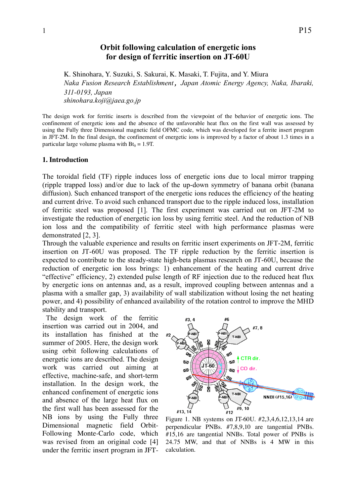# **Orbit following calculation of energetic ions for design of ferritic insertion on JT-60U**

K. Shinohara, Y. Suzuki, S. Sakurai, K. Masaki, T. Fujita, and Y. Miura

*Naka Fusion Research Establishment*, *Japan Atomic Energy Agency, Naka, Ibaraki, 311-0193, Japan shinohara.koji@jaea.go.jp*

The design work for ferritic inserts is described from the viewpoint of the behavior of energetic ions. The confinement of energetic ions and the absence of the unfavorable heat flux on the first wall was assessed by using the Fully three Dimensional magnetic field OFMC code, which was developed for a ferrite insert program in JFT-2M. In the final design, the confinement of energetic ions is improved by a factor of about 1.3 times in a particular large volume plasma with  $Bt_0 = 1.9T$ .

### **1. Introduction**

The toroidal field (TF) ripple induces loss of energetic ions due to local mirror trapping (ripple trapped loss) and/or due to lack of the up-down symmetry of banana orbit (banana diffusion). Such enhanced transport of the energetic ions reduces the efficiency of the heating and current drive. To avoid such enhanced transport due to the ripple induced loss, installation of ferritic steel was proposed [1]. The first experiment was carried out on JFT-2M to investigate the reduction of energetic ion loss by using ferritic steel. And the reduction of NB ion loss and the compatibility of ferritic steel with high performance plasmas were demonstrated [2, 3].

Through the valuable experience and results on ferritic insert experiments on JFT-2M, ferritic insertion on JT-60U was proposed. The TF ripple reduction by the ferritic insertion is expected to contribute to the steady-state high-beta plasmas research on JT-60U, because the reduction of energetic ion loss brings: 1) enhancement of the heating and current drive "effective" efficiency, 2) extended pulse length of RF injection due to the reduced heat flux by energetic ions on antennas and, as a result, improved coupling between antennas and a plasma with a smaller gap, 3) availability of wall stabilization without losing the net heating power, and 4) possibility of enhanced availability of the rotation control to improve the MHD stability and transport.

The design work of the ferritic insertion was carried out in 2004, and its installation has finished at the summer of 2005. Here, the design work using orbit following calculations of energetic ions are described. The design work was carried out aiming at effective, machine-safe, and short-term installation. In the design work, the enhanced confinement of energetic ions and absence of the large heat flux on the first wall has been assessed for the NB ions by using the Fully three Dimensional magnetic field Orbit-Following Monte-Carlo code, which was revised from an original code [4] under the ferritic insert program in JFT-



Figure 1. NB systems on JT-60U. #2,3,4,6,12,13,14 are perpendicular PNBs. #7,8,9,10 are tangential PNBs. #15,16 are tangential NNBs. Total power of PNBs is 24.75 MW, and that of NNBs is 4 MW in this calculation.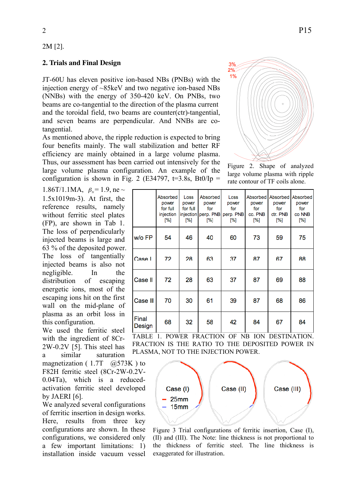### 2M [2].

## **2. Trials and Final Design**

JT-60U has eleven positive ion-based NBs (PNBs) with the injection energy of ~85keV and two negative ion-based NBs (NNBs) with the energy of 350-420 keV. On PNBs, two beams are co-tangential to the direction of the plasma current and the toroidal field, two beams are counter(ctr)-tangential, and seven beams are perpendicular. And NNBs are cotangential.

As mentioned above, the ripple reduction is expected to bring four benefits mainly. The wall stabilization and better RF efficiency are mainly obtained in a large volume plasma. Thus, our assessment has been carried out intensively for the large volume plasma configuration. An example of the configuration is shown in Fig. 2 (E34797,  $t=3.8$ s, Bt $0/Ip =$ 

1.86T/1.1MA,  $\beta_{N} = 1.9$ , ne ~ without ferritic steel plates 1.5x1019m-3). At first, the reference results, namely (FP), are shown in Tab 1. The loss of perpendicularly injected beams is large and 63 % of the deposited power. The loss of tangentially injected beams is also not negligible. In the distribution of escaping energetic ions, most of the escaping ions hit on the first wall on the mid-plane of plasma as an orbit loss in this configuration.

We used the ferritic steel with the ingredient of 8Cr-2W-0.2V [5]. This steel has a similar saturation

magnetization ( $1.7T$  @573K) to F82H ferritic steel (8Cr-2W-0.2V-0.04Ta), which is a reducedactivation ferritic steel developed by JAERI [6].

We analyzed several configurations of ferritic insertion in design works. Here, results from three key configurations are shown. In these configurations, we considered only a few important limitations: 1) installation inside vacuum vessel

|                 | Absorbed<br>power<br>for full<br>injection<br>[%] | Loss<br>power<br>for full<br>[%] | Absorbed<br>power<br>for<br>injection perp. PNB<br>[%] | Loss<br>power<br>for<br>perp. PNB<br>[%] | Absorbed<br>power<br>for<br>co. PNB<br>[%] | power<br>for<br>ctr. PNB<br>[%] | Absorbed Absorbed<br>power<br>for<br>co NNB<br>[%] |
|-----------------|---------------------------------------------------|----------------------------------|--------------------------------------------------------|------------------------------------------|--------------------------------------------|---------------------------------|----------------------------------------------------|
| w/o FP          | 54                                                | 46                               | 40                                                     | 60                                       | 73                                         | 59                              | 75                                                 |
| Case I          | 72                                                | 28                               | 63                                                     | 37                                       | 87                                         | 67                              | 88                                                 |
| Case II         | 72                                                | 28                               | 63                                                     | 37                                       | 87                                         | 69                              | 88                                                 |
| Case III        | 70                                                | 30                               | 61                                                     | 39                                       | 87                                         | 68                              | 86                                                 |
| Final<br>Design | 68                                                | 32                               | 58                                                     | 42                                       | 84                                         | 67                              | 84                                                 |

TABLE 1. POWER FRACTION OF NB ION DESTINATION. FRACTION IS THE RATIO TO THE DEPOSITED POWER IN PLASMA, NOT TO THE INJECTION POWER.



Figure 3 Trial configurations of ferritic insertion, Case (I), (II) and (III). The Note: line thickness is not proportional to the thickness of ferritic steel. The line thickness is exaggerated for illustration.



Figure 2. Shape of analyzed large volume plasma with ripple rate contour of TF coils alone.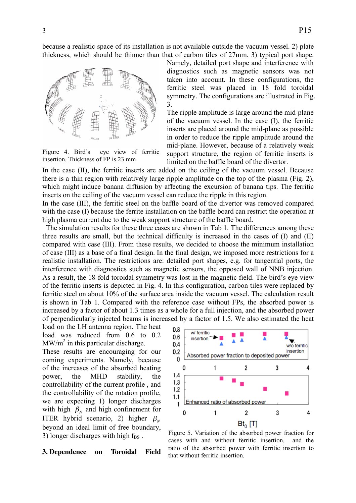because a realistic space of its installation is not available outside the vacuum vessel. 2) plate thickness, which should be thinner than that of carbon tiles of 27mm. 3) typical port shape.



Figure 4. Bird's eye view of ferritic insertion. Thickness of FP is 23 mm

Namely, detailed port shape and interference with diagnostics such as magnetic sensors was not taken into account. In these configurations, the ferritic steel was placed in 18 fold toroidal symmetry. The configurations are illustrated in Fig. 3.

The ripple amplitude is large around the mid-plane of the vacuum vessel. In the case (I), the ferritic inserts are placed around the mid-plane as possible in order to reduce the ripple amplitude around the mid-plane. However, because of a relatively weak support structure, the region of ferritic inserts is limited on the baffle board of the divertor.

In the case (II), the ferritic inserts are added on the ceiling of the vacuum vessel. Because there is a thin region with relatively large ripple amplitude on the top of the plasma (Fig. 2), which might induce banana diffusion by affecting the excursion of banana tips. The ferritic inserts on the ceiling of the vacuum vessel can reduce the ripple in this region.

In the case (III), the ferritic steel on the baffle board of the divertor was removed compared with the case (I) because the ferrite installation on the baffle board can restrict the operation at high plasma current due to the weak support structure of the baffle board.

The simulation results for these three cases are shown in Tab 1. The differences among these three results are small, but the technical difficulty is increased in the cases of  $(I)$  and  $(II)$ compared with case (III). From these results, we decided to choose the minimum installation of case (III) as a base of a final design. In the final design, we imposed more restrictions for a realistic installation. The restrictions are: detailed port shapes, e.g. for tangential ports, the interference with diagnostics such as magnetic sensors, the opposed wall of NNB injection. As a result, the 18-fold toroidal symmetry was lost in the magnetic field. The bird's eye view of the ferritic inserts is depicted in Fig. 4. In this configuration, carbon tiles were replaced by ferritic steel on about 10% of the surface area inside the vacuum vessel. The calculation result is shown in Tab 1. Compared with the reference case without FPs, the absorbed power is increased by a factor of about 1.3 times as a whole for a full injection, and the absorbed power of perpendicularly injected beams is increased by a factor of 1.5. We also estimated the heat

load on the LH antenna region. The heat load was reduced from 0.6 to 0.2  $MW/m<sup>2</sup>$  in this particular discharge. These results are encouraging for our coming experiments. Namely, because of the increases of the absorbed heating power, the MHD stability, the controllability of the current profile , and the controllability of the rotation profile, we are expecting 1) longer discharges with high  $\beta_N$  and high confinement for  $\frac{1}{\sqrt{2}}$ ITER hybrid scenario, 2) higher  $\beta_N$ beyond an ideal limit of free boundary, 3) longer discharges with high  $f_{BS}$ .

**Toroidal 3. Dependence on Toroidal Field**



Figure 5. Variation of the absorbed power fraction for cases with and without ferritic insertion, and the ratio of the absorbed power with ferritic insertion to that without ferritic insertion.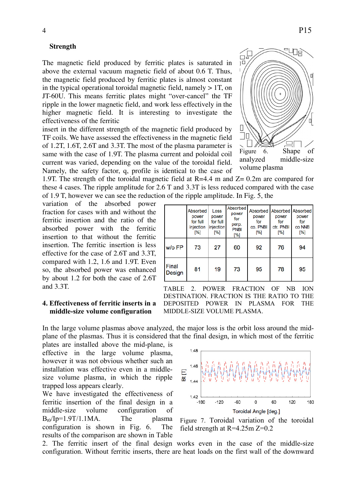#### **Strength**

The magnetic field produced by ferritic plates is saturated in above the external vacuum magnetic field of about 0.6 T. Thus, the magnetic field produced by ferritic plates is almost constant in the typical operational toroidal magnetic field, namely  $> 1T$ , on JT-60U. This means ferritic plates might "over-cancel" the TF ripple in the lower magnetic field, and work less effectively in the higher magnetic field. It is interesting to investigate the effectiveness of the ferritic

insert in the different strength of the magnetic field produced by TF coils. We have assessed the effectiveness in the magnetic field of 1.2T, 1.6T, 2.6T and 3.3T. The most of the plasma parameter is same with the case of 1.9T. The plasma current and poloidal coil current was varied, depending on the value of the toroidal field. Namely, the safety factor, q, profile is identical to the case of

1.9T. The strength of the toroidal magnetic field at  $R=4.4$  m and  $Z=0.2$ m are compared for these 4 cases. The ripple amplitude for 2.6 T and 3.3T is less reduced compared with the case of 1.9 T, however we can see the reduction of the ripple amplitude. In Fig. 5, the

Absorbed

power

for full

injection

Loss

power

for full

injection

variation of the absorbed power fraction for cases with and without the ferritic insertion and the ratio of the absorbed power with the ferritic insertion to that without the ferritic insertion. The ferritic insertion is less effective for the case of 2.6T and 3.3T, compared with 1.2, 1.6 and 1.9T. Even so, the absorbed power was enhanced by about 1.2 for both the case of 2.6T and 3.3T.

## **4. Effectiveness of ferritic inserts in a middle-size volume configuration**

[%] [%]  $[%]$ [%] [%]  $[%]$ w/o FP 73 92 76 27 60 94 Final 81 19 95 78 95 73 Design TABLE 2. POWER FRACTION OF NB ION

Absorbed

power

for

perp.

**PNBI** 

Absorbed

power

for

co. PNBI

Absorbed

power

for

ctr. PNBI

Absorbed

power

for

co NNB

DESTINATION. FRACTION IS THE RATIO TO THE DEPOSITED POWER IN PLASMA FOR THE MIDDLE-SIZE VOLUME PLASMA.

In the large volume plasmas above analyzed, the major loss is the orbit loss around the midplane of the plasmas. Thus it is considered that the final design, in which most of the ferritic

1.48

1.46

1.42  $-180$ 

 $-120$ 

 $\frac{1}{\overline{a}}$  $144$ 

plates are installed above the mid-plane, is effective in the large volume plasma, however it was not obvious whether such an installation was effective even in a middlesize volume plasma, in which the ripple trapped loss appears clearly.

We have investigated the effectiveness of ferritic insertion of the final design in a middle-size volume configuration of  $B_{t0}/Ip=1.9T/1.1MA$ . The plasma configuration is shown in Fig. 6. The results of the comparison are shown in Table



 $\overline{0}$ 

60

120

180

-60

2. The ferritic insert of the final design works even in the case of the middle-size configuration. Without ferritic inserts, there are heat loads on the first wall of the downward